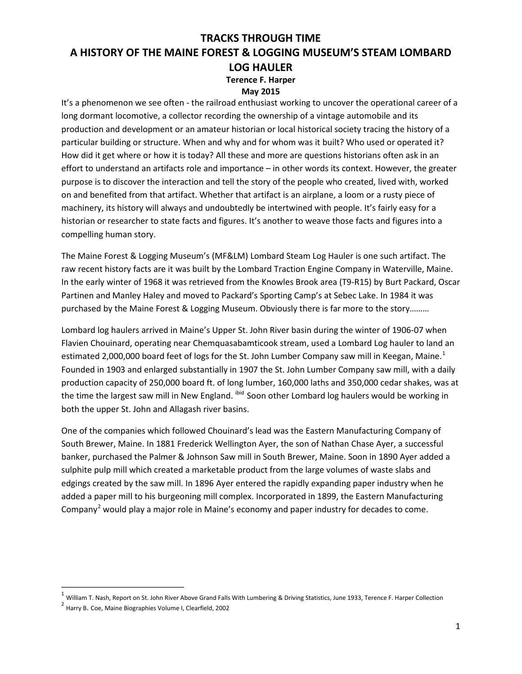#### **May 2015**

It's a phenomenon we see often - the railroad enthusiast working to uncover the operational career of a long dormant locomotive, a collector recording the ownership of a vintage automobile and its production and development or an amateur historian or local historical society tracing the history of a particular building or structure. When and why and for whom was it built? Who used or operated it? How did it get where or how it is today? All these and more are questions historians often ask in an effort to understand an artifacts role and importance – in other words its context. However, the greater purpose is to discover the interaction and tell the story of the people who created, lived with, worked on and benefited from that artifact. Whether that artifact is an airplane, a loom or a rusty piece of machinery, its history will always and undoubtedly be intertwined with people. It's fairly easy for a historian or researcher to state facts and figures. It's another to weave those facts and figures into a compelling human story.

The Maine Forest & Logging Museum's (MF&LM) Lombard Steam Log Hauler is one such artifact. The raw recent history facts are it was built by the Lombard Traction Engine Company in Waterville, Maine. In the early winter of 1968 it was retrieved from the Knowles Brook area (T9-R15) by Burt Packard, Oscar Partinen and Manley Haley and moved to Packard's Sporting Camp's at Sebec Lake. In 1984 it was purchased by the Maine Forest & Logging Museum. Obviously there is far more to the story………

Lombard log haulers arrived in Maine's Upper St. John River basin during the winter of 1906-07 when Flavien Chouinard, operating near Chemquasabamticook stream, used a Lombard Log hauler to land an estimated 2,000,000 board feet of logs for the St. John Lumber Company saw mill in Keegan, Maine.<sup>1</sup> Founded in 1903 and enlarged substantially in 1907 the St. John Lumber Company saw mill, with a daily production capacity of 250,000 board ft. of long lumber, 160,000 laths and 350,000 cedar shakes, was at the time the largest saw mill in New England. <sup>ibid</sup> Soon other Lombard log haulers would be working in both the upper St. John and Allagash river basins.

One of the companies which followed Chouinard's lead was the Eastern Manufacturing Company of South Brewer, Maine. In 1881 Frederick Wellington Ayer, the son of Nathan Chase Ayer, a successful banker, purchased the Palmer & Johnson Saw mill in South Brewer, Maine. Soon in 1890 Ayer added a sulphite pulp mill which created a marketable product from the large volumes of waste slabs and edgings created by the saw mill. In 1896 Ayer entered the rapidly expanding paper industry when he added a paper mill to his burgeoning mill complex. Incorporated in 1899, the Eastern Manufacturing Company<sup>2</sup> would play a major role in Maine's economy and paper industry for decades to come.

 $1$  William T. Nash, Report on St. John River Above Grand Falls With Lumbering & Driving Statistics, June 1933, Terence F. Harper Collection

<sup>2</sup> Harry B. Coe, Maine Biographies Volume I, Clearfield, <sup>2002</sup>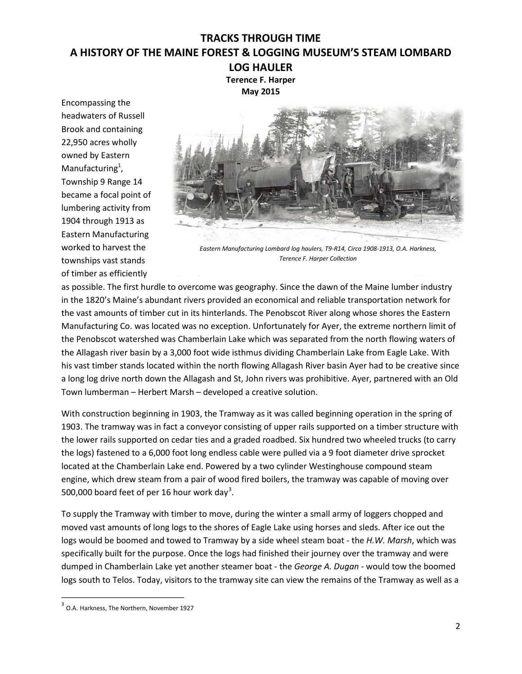**Terence F. Harper May 2015**

Encompassing the headwaters of Russell Brook and containing 22,950 acres wholly owned by Eastern Manufacturing<sup>1</sup>, Township 9 Range 14 became a focal point of lumbering activity from 1904 through 1913 as Eastern Manufacturing worked to harvest the townships vast stands of timber as efficiently



*Eastern Manufacturing Lombard log haulers, T99R14, Circa 190891913, O.A. Harkness, Terence F. Harper Collection*

as possible. The first hurdle to overcome was geography. Since the dawn of the Maine lumber industry in the 1820's Maine's abundant rivers provided an economical and reliable transportation network for the vast amounts of timber cut in its hinterlands. The Penobscot River along whose shores the Eastern Manufacturing Co. was located was no exception. Unfortunately for Ayer, the extreme northern limit of the Penobscot watershed was Chamberlain Lake which was separated from the north flowing waters of the Allagash river basin by a 3,000 foot wide isthmus dividing Chamberlain Lake from Eagle Lake. With his vast timber stands located within the north flowing Allagash River basin Ayer had to be creative since a long log drive north down the Allagash and St, John rivers was prohibitive. Ayer, partnered with an Old Town lumberman – Herbert Marsh – developed a creative solution.

With construction beginning in 1903, the Tramway as it was called beginning operation in the spring of 1903. The tramway was in fact a conveyor consisting of upper rails supported on a timber structure with the lower rails supported on cedar ties and a graded roadbed. Six hundred two wheeled trucks (to carry the logs) fastened to a 6,000 foot long endless cable were pulled via a 9 foot diameter drive sprocket located at the Chamberlain Lake end. Powered by a two cylinder Westinghouse compound steam engine, which drew steam from a pair of wood fired boilers, the tramway was capable of moving over 500,000 board feet of per 16 hour work day<sup>3</sup>.

To supply the Tramway with timber to move, during the winter a small army of loggers chopped and moved vast amounts of long logs to the shores of Eagle Lake using horses and sleds. After ice out the logs would be boomed and towed to Tramway by a side wheel steam boat - the *H.W. Marsh*, which was specifically built for the purpose. Once the logs had finished their journey over the tramway and were dumped in Chamberlain Lake yet another steamer boat - the *George A. Dugan* - would tow the boomed logs south to Telos. Today, visitors to the tramway site can view the remains of the Tramway as well as a

<sup>&</sup>lt;sup>3</sup> O.A. Harkness, The Northern, November 1927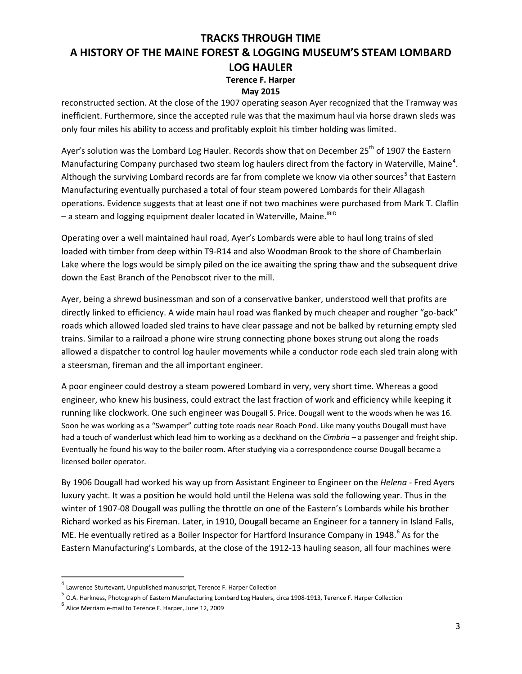#### **May 2015**

reconstructed section. At the close of the 1907 operating season Ayer recognized that the Tramway was inefficient. Furthermore, since the accepted rule was that the maximum haul via horse drawn sleds was only four miles his ability to access and profitably exploit his timber holding was limited.

Ayer's solution was the Lombard Log Hauler. Records show that on December 25<sup>th</sup> of 1907 the Eastern Manufacturing Company purchased two steam log haulers direct from the factory in Waterville, Maine<sup>4</sup>. Although the surviving Lombard records are far from complete we know via other sources<sup>5</sup> that Eastern Manufacturing eventually purchased a total of four steam powered Lombards for their Allagash operations. Evidence suggests that at least one if not two machines were purchased from Mark T. Claflin - a steam and logging equipment dealer located in Waterville, Maine.<sup>IBID</sup>

Operating over a well maintained haul road, Ayer's Lombards were able to haul long trains of sled loaded with timber from deep within T9-R14 and also Woodman Brook to the shore of Chamberlain Lake where the logs would be simply piled on the ice awaiting the spring thaw and the subsequent drive down the East Branch of the Penobscot river to the mill.

Ayer, being a shrewd businessman and son of a conservative banker, understood well that profits are directly linked to efficiency. A wide main haul road was flanked by much cheaper and rougher "go-back" roads which allowed loaded sled trains to have clear passage and not be balked by returning empty sled trains. Similar to a railroad a phone wire strung connecting phone boxes strung out along the roads allowed a dispatcher to control log hauler movements while a conductor rode each sled train along with a steersman, fireman and the all important engineer.

A poor engineer could destroy a steam powered Lombard in very, very short time. Whereas a good engineer, who knew his business, could extract the last fraction of work and efficiency while keeping it running like clockwork. One such engineer was Dougall S. Price. Dougall went to the woods when he was 16. Soon he was working as a "Swamper" cutting tote roads near Roach Pond. Like many youths Dougall must have had a touch of wanderlust which lead him to working as a deckhand on the *Cimbria –* a passenger and freight ship. Eventually he found his way to the boiler room. After studying via a correspondence course Dougall became a licensed boiler operator.

By 1906 Dougall had worked his way up from Assistant Engineer to Engineer on the *Helena* - Fred Ayers luxury yacht. It was a position he would hold until the Helena was sold the following year. Thus in the winter of 1907-08 Dougall was pulling the throttle on one of the Eastern's Lombards while his brother Richard worked as his Fireman. Later, in 1910, Dougall became an Engineer for a tannery in Island Falls, ME. He eventually retired as a Boiler Inspector for Hartford Insurance Company in 1948.<sup>6</sup> As for the Eastern Manufacturing's Lombards, at the close of the 1912-13 hauling season, all four machines were

 $4$  Lawrence Sturtevant, Unpublished manuscript, Terence F. Harper Collection

 $^5$  O.A. Harkness, Photograph of Eastern Manufacturing Lombard Log Haulers, circa 1908-1913, Terence F. Harper Collection

 $^6$  Alice Merriam e-mail to Terence F. Harper, June 12, 2009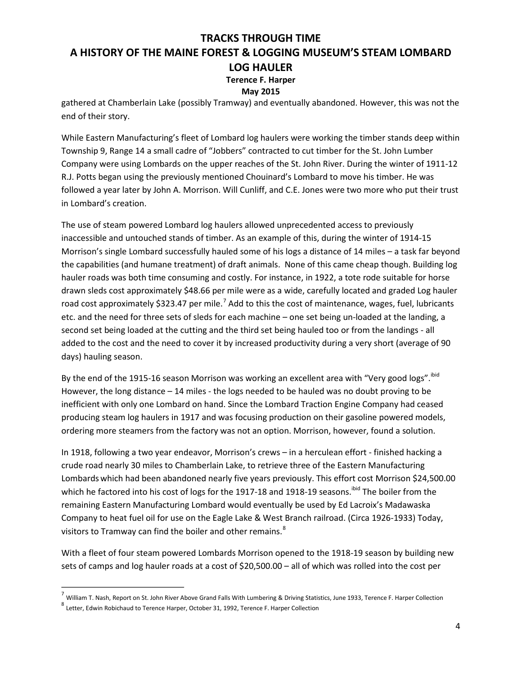#### **May 2015**

gathered at Chamberlain Lake (possibly Tramway) and eventually abandoned. However, this was not the end of their story.

While Eastern Manufacturing's fleet of Lombard log haulers were working the timber stands deep within Township 9, Range 14 a small cadre of "Jobbers" contracted to cut timber for the St. John Lumber Company were using Lombards on the upper reaches of the St. John River. During the winter of 1911-12 R.J. Potts began using the previously mentioned Chouinard's Lombard to move his timber. He was followed a year later by John A. Morrison. Will Cunliff, and C.E. Jones were two more who put their trust in Lombard's creation.

The use of steam powered Lombard log haulers allowed unprecedented access to previously inaccessible and untouched stands of timber. As an example of this, during the winter of 1914-15 Morrison's single Lombard successfully hauled some of his logs a distance of 14 miles – a task far beyond the capabilities (and humane treatment) of draft animals. None of this came cheap though. Building log hauler roads was both time consuming and costly. For instance, in 1922, a tote rode suitable for horse drawn sleds cost approximately \$48.66 per mile were as a wide, carefully located and graded Log hauler road cost approximately \$323.47 per mile.<sup>7</sup> Add to this the cost of maintenance, wages, fuel, lubricants etc. and the need for three sets of sleds for each machine – one set being un-loaded at the landing, a second set being loaded at the cutting and the third set being hauled too or from the landings - all added to the cost and the need to cover it by increased productivity during a very short (average of 90 days) hauling season.

By the end of the 1915-16 season Morrison was working an excellent area with "Very good logs". <sup>ibid</sup> However, the long distance  $-14$  miles - the logs needed to be hauled was no doubt proving to be inefficient with only one Lombard on hand. Since the Lombard Traction Engine Company had ceased producing steam log haulers in 1917 and was focusing production on their gasoline powered models, ordering more steamers from the factory was not an option. Morrison, however, found a solution.

In 1918, following a two year endeavor, Morrison's crews – in a herculean effort - finished hacking a crude road nearly 30 miles to Chamberlain Lake, to retrieve three of the Eastern Manufacturing Lombards which had been abandoned nearly five years previously. This effort cost Morrison \$24,500.00 which he factored into his cost of logs for the 1917-18 and 1918-19 seasons.<sup>ibid</sup> The boiler from the remaining Eastern Manufacturing Lombard would eventually be used by Ed Lacroix's Madawaska Company to heat fuel oil for use on the Eagle Lake & West Branch railroad. (Circa 1926-1933) Today, visitors to Tramway can find the boiler and other remains.<sup>8</sup>

With a fleet of four steam powered Lombards Morrison opened to the 1918-19 season by building new sets of camps and log hauler roads at a cost of \$20,500.00 – all of which was rolled into the cost per

 $^7$  William T. Nash, Report on St. John River Above Grand Falls With Lumbering & Driving Statistics, June 1933, Terence F. Harper Collection

<sup>8</sup> Letter, Edwin Robichaud to Terence Harper, October 31, 1992, Terence F. Harper Collection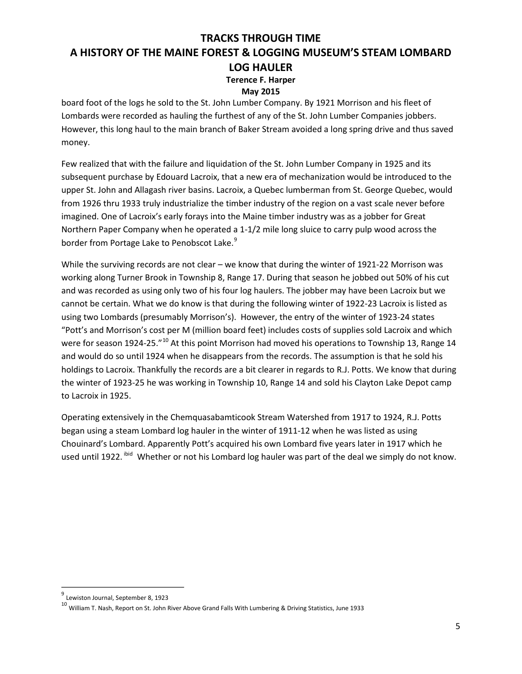### **May 2015**

board foot of the logs he sold to the St. John Lumber Company. By 1921 Morrison and his fleet of Lombards were recorded as hauling the furthest of any of the St. John Lumber Companies jobbers. However, this long haul to the main branch of Baker Stream avoided a long spring drive and thus saved money.

Few realized that with the failure and liquidation of the St. John Lumber Company in 1925 and its subsequent purchase by Edouard Lacroix, that a new era of mechanization would be introduced to the upper St. John and Allagash river basins. Lacroix, a Quebec lumberman from St. George Quebec, would from 1926 thru 1933 truly industrialize the timber industry of the region on a vast scale never before imagined. One of Lacroix's early forays into the Maine timber industry was as a jobber for Great Northern Paper Company when he operated a 1-1/2 mile long sluice to carry pulp wood across the border from Portage Lake to Penobscot Lake.<sup>9</sup>

While the surviving records are not clear – we know that during the winter of 1921-22 Morrison was working along Turner Brook in Township 8, Range 17. During that season he jobbed out 50% of his cut and was recorded as using only two of his four log haulers. The jobber may have been Lacroix but we cannot be certain. What we do know is that during the following winter of 1922-23 Lacroix is listed as using two Lombards (presumably Morrison's). However, the entry of the winter of 1923-24 states "Pott's and Morrison's cost per M (million board feet) includes costs of supplies sold Lacroix and which were for season 1924-25."<sup>10</sup> At this point Morrison had moved his operations to Township 13, Range 14 and would do so until 1924 when he disappears from the records. The assumption is that he sold his holdings to Lacroix. Thankfully the records are a bit clearer in regards to R.J. Potts. We know that during the winter of 1923-25 he was working in Township 10, Range 14 and sold his Clayton Lake Depot camp to Lacroix in 1925.

Operating extensively in the Chemquasabamticook Stream Watershed from 1917 to 1924, R.J. Potts began using a steam Lombard log hauler in the winter of 1911-12 when he was listed as using Chouinard's Lombard. Apparently Pott's acquired his own Lombard five years later in 1917 which he used until 1922. <sup>ibid</sup> Whether or not his Lombard log hauler was part of the deal we simply do not know.

<sup>9</sup> Lewiston Journal, September 8, <sup>1923</sup>

 $^{10}$  William T. Nash, Report on St. John River Above Grand Falls With Lumbering & Driving Statistics, June 1933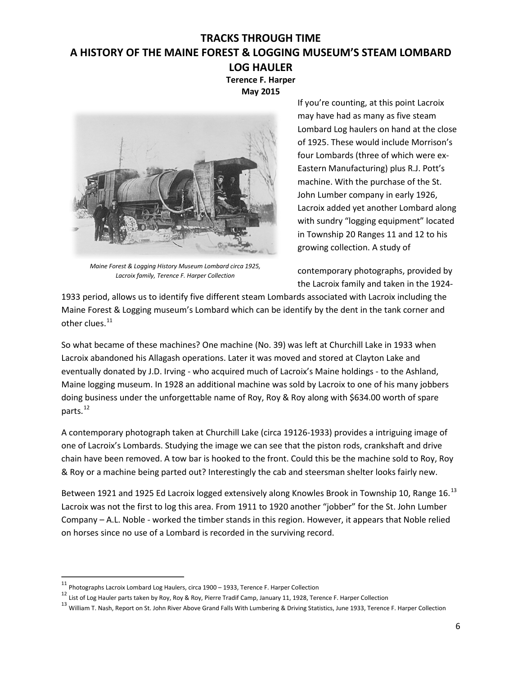**Terence F. Harper May 2015**



*Maine Forest & Logging History Museum Lombard circa 1925, Lacroix family, Terence F. Harper Collection*

If you're counting, at this point Lacroix may have had as many as five steam Lombard Log haulers on hand at the close of 1925. These would include Morrison's four Lombards (three of which were ex-Eastern Manufacturing) plus R.J. Pott's machine. With the purchase of the St. John Lumber company in early 1926, Lacroix added yet another Lombard along with sundry "logging equipment" located in Township 20 Ranges 11 and 12 to his growing collection. A study of

contemporary photographs, provided by the Lacroix family and taken in the 1924-

1933 period, allows us to identify five different steam Lombards associated with Lacroix including the Maine Forest & Logging museum's Lombard which can be identify by the dent in the tank corner and other clues.<sup>11</sup>

So what became of these machines? One machine (No. 39) was left at Churchill Lake in 1933 when Lacroix abandoned his Allagash operations. Later it was moved and stored at Clayton Lake and eventually donated by J.D. Irving - who acquired much of Lacroix's Maine holdings - to the Ashland, Maine logging museum. In 1928 an additional machine was sold by Lacroix to one of his many jobbers doing business under the unforgettable name of Roy, Roy & Roy along with \$634.00 worth of spare parts. 12

A contemporary photograph taken at Churchill Lake (circa 19126-1933) provides a intriguing image of one of Lacroix's Lombards. Studying the image we can see that the piston rods, crankshaft and drive chain have been removed. A tow bar is hooked to the front. Could this be the machine sold to Roy, Roy & Roy or a machine being parted out? Interestingly the cab and steersman shelter looks fairly new.

Between 1921 and 1925 Ed Lacroix logged extensively along Knowles Brook in Township 10, Range 16.<sup>13</sup> Lacroix was not the first to log this area. From 1911 to 1920 another "jobber" for the St. John Lumber Company – A.L. Noble - worked the timber stands in this region. However, it appears that Noble relied on horses since no use of a Lombard is recorded in the surviving record.

<sup>11</sup> Photographs Lacroix Lombard Log Haulers, circa <sup>1900</sup> – 1933, Terence F. Harper Collection

<sup>12</sup> List of Log Hauler parts taken by Roy, Roy & Roy, Pierre Tradif Camp, January 11, 1928, Terence F. Harper Collection

<sup>&</sup>lt;sup>13</sup> William T. Nash, Report on St. John River Above Grand Falls With Lumbering & Driving Statistics, June 1933, Terence F. Harper Collection